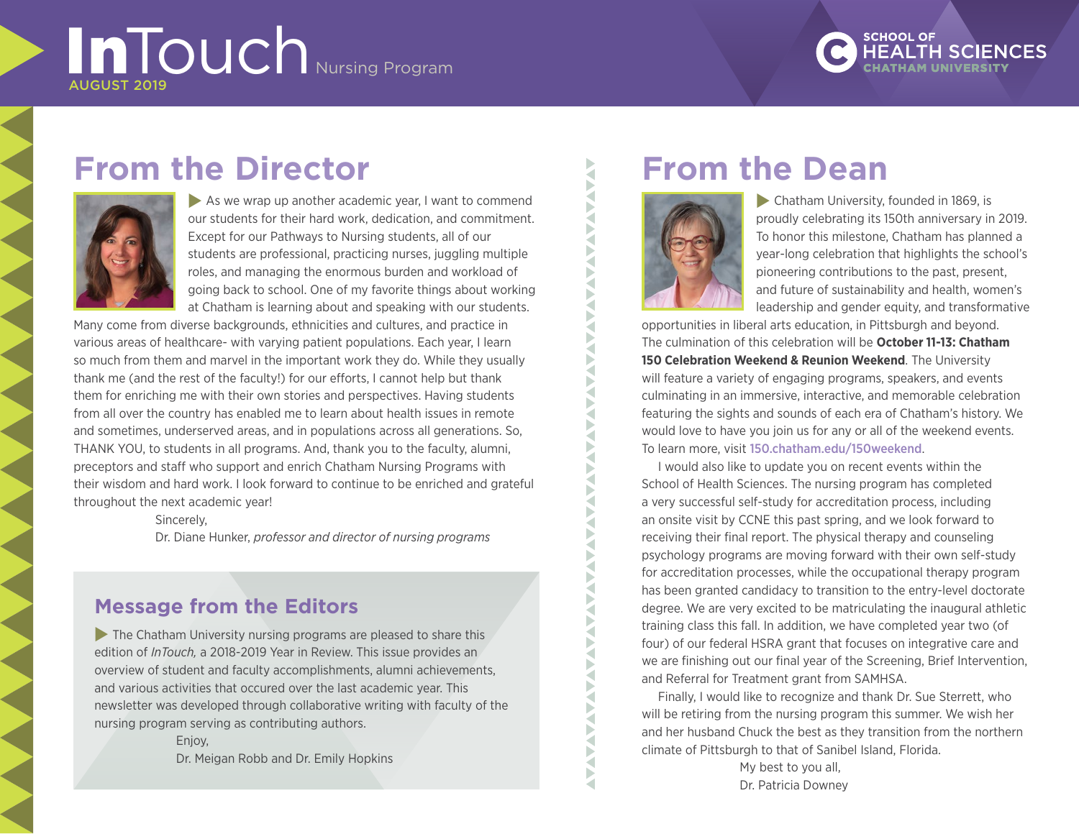# InTouch Nursing Program AUGUST 2019

**SCHOOL OF** 

## **From the Director**



 $\blacktriangleright$  As we wrap up another academic year, I want to commend our students for their hard work, dedication, and commitment. Except for our Pathways to Nursing students, all of our students are professional, practicing nurses, juggling multiple roles, and managing the enormous burden and workload of going back to school. One of my favorite things about working at Chatham is learning about and speaking with our students.

Many come from diverse backgrounds, ethnicities and cultures, and practice in various areas of healthcare- with varying patient populations. Each year, I learn so much from them and marvel in the important work they do. While they usually thank me (and the rest of the faculty!) for our efforts, I cannot help but thank them for enriching me with their own stories and perspectives. Having students from all over the country has enabled me to learn about health issues in remote and sometimes, underserved areas, and in populations across all generations. So, THANK YOU, to students in all programs. And, thank you to the faculty, alumni, preceptors and staff who support and enrich Chatham Nursing Programs with their wisdom and hard work. I look forward to continue to be enriched and grateful throughout the next academic year!

Sincerely,

Dr. Diane Hunker, *professor and director of nursing programs*

## **Message from the Editors**

 $\blacktriangleright$  The Chatham University nursing programs are pleased to share this edition of *InTouch,* a 2018-2019 Year in Review. This issue provides an overview of student and faculty accomplishments, alumni achievements, and various activities that occured over the last academic year. This newsletter was developed through collaborative writing with faculty of the nursing program serving as contributing authors.

> Enjoy, Dr. Meigan Robb and Dr. Emily Hopkins

## **From the Dean**



₹ Б ₹  $\blacktriangleright$ ₹ ₹ Þ ₹ Þ ₹ a ₹

Þ

∢

₹ ₹ ◀ ₹

∢ Б ₹ Þ a

 $\blacktriangleright$  Chatham University, founded in 1869, is proudly celebrating its 150th anniversary in 2019. To honor this milestone, Chatham has planned a year-long celebration that highlights the school's pioneering contributions to the past, present, and future of sustainability and health, women's leadership and gender equity, and transformative

opportunities in liberal arts education, in Pittsburgh and beyond. The culmination of this celebration will be **October 11-13: Chatham 150 Celebration Weekend & Reunion Weekend**. The University will feature a variety of engaging programs, speakers, and events culminating in an immersive, interactive, and memorable celebration featuring the sights and sounds of each era of Chatham's history. We would love to have you join us for any or all of the weekend events. To learn more, visit 150.chatham.edu/150weekend.

I would also like to update you on recent events within the School of Health Sciences. The nursing program has completed a very successful self-study for accreditation process, including an onsite visit by CCNE this past spring, and we look forward to receiving their final report. The physical therapy and counseling psychology programs are moving forward with their own self-study for accreditation processes, while the occupational therapy program has been granted candidacy to transition to the entry-level doctorate degree. We are very excited to be matriculating the inaugural athletic training class this fall. In addition, we have completed year two (of four) of our federal HSRA grant that focuses on integrative care and we are finishing out our final year of the Screening, Brief Intervention, and Referral for Treatment grant from SAMHSA.

Finally, I would like to recognize and thank Dr. Sue Sterrett, who will be retiring from the nursing program this summer. We wish her and her husband Chuck the best as they transition from the northern climate of Pittsburgh to that of Sanibel Island, Florida.

My best to you all, Dr. Patricia Downey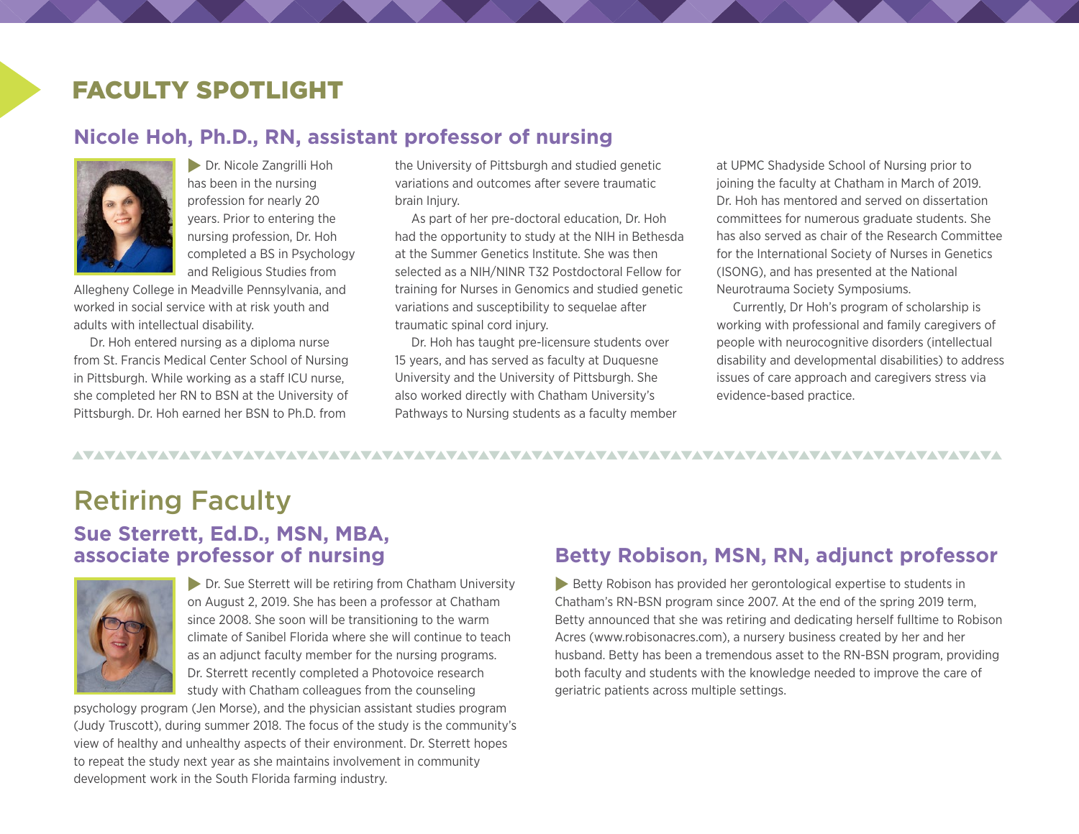## FACULTY SPOTLIGHT

### **Nicole Hoh, Ph.D., RN, assistant professor of nursing**



**Dr. Nicole Zangrilli Hoh** has been in the nursing profession for nearly 20 years. Prior to entering the nursing profession, Dr. Hoh completed a BS in Psychology and Religious Studies from

Allegheny College in Meadville Pennsylvania, and worked in social service with at risk youth and adults with intellectual disability.

Dr. Hoh entered nursing as a diploma nurse from St. Francis Medical Center School of Nursing in Pittsburgh. While working as a staff ICU nurse, she completed her RN to BSN at the University of Pittsburgh. Dr. Hoh earned her BSN to Ph.D. from

the University of Pittsburgh and studied genetic variations and outcomes after severe traumatic brain Injury.

As part of her pre-doctoral education, Dr. Hoh had the opportunity to study at the NIH in Bethesda at the Summer Genetics Institute. She was then selected as a NIH/NINR T32 Postdoctoral Fellow for training for Nurses in Genomics and studied genetic variations and susceptibility to sequelae after traumatic spinal cord injury.

Dr. Hoh has taught pre-licensure students over 15 years, and has served as faculty at Duquesne University and the University of Pittsburgh. She also worked directly with Chatham University's Pathways to Nursing students as a faculty member at UPMC Shadyside School of Nursing prior to joining the faculty at Chatham in March of 2019. Dr. Hoh has mentored and served on dissertation committees for numerous graduate students. She has also served as chair of the Research Committee for the International Society of Nurses in Genetics (ISONG), and has presented at the National Neurotrauma Society Symposiums.

Currently, Dr Hoh's program of scholarship is working with professional and family caregivers of people with neurocognitive disorders (intellectual disability and developmental disabilities) to address issues of care approach and caregivers stress via evidence-based practice.

## Retiring Faculty

### **Sue Sterrett, Ed.D., MSN, MBA, associate professor of nursing**



 $\blacktriangleright$  Dr. Sue Sterrett will be retiring from Chatham University on August 2, 2019. She has been a professor at Chatham since 2008. She soon will be transitioning to the warm climate of Sanibel Florida where she will continue to teach as an adjunct faculty member for the nursing programs. Dr. Sterrett recently completed a Photovoice research study with Chatham colleagues from the counseling

psychology program (Jen Morse), and the physician assistant studies program (Judy Truscott), during summer 2018. The focus of the study is the community's view of healthy and unhealthy aspects of their environment. Dr. Sterrett hopes to repeat the study next year as she maintains involvement in community development work in the South Florida farming industry.

#### **Betty Robison, MSN, RN, adjunct professor**

 $\blacktriangleright$  Betty Robison has provided her gerontological expertise to students in Chatham's RN-BSN program since 2007. At the end of the spring 2019 term, Betty announced that she was retiring and dedicating herself fulltime to Robison Acres (www.robisonacres.com), a nursery business created by her and her husband. Betty has been a tremendous asset to the RN-BSN program, providing both faculty and students with the knowledge needed to improve the care of geriatric patients across multiple settings.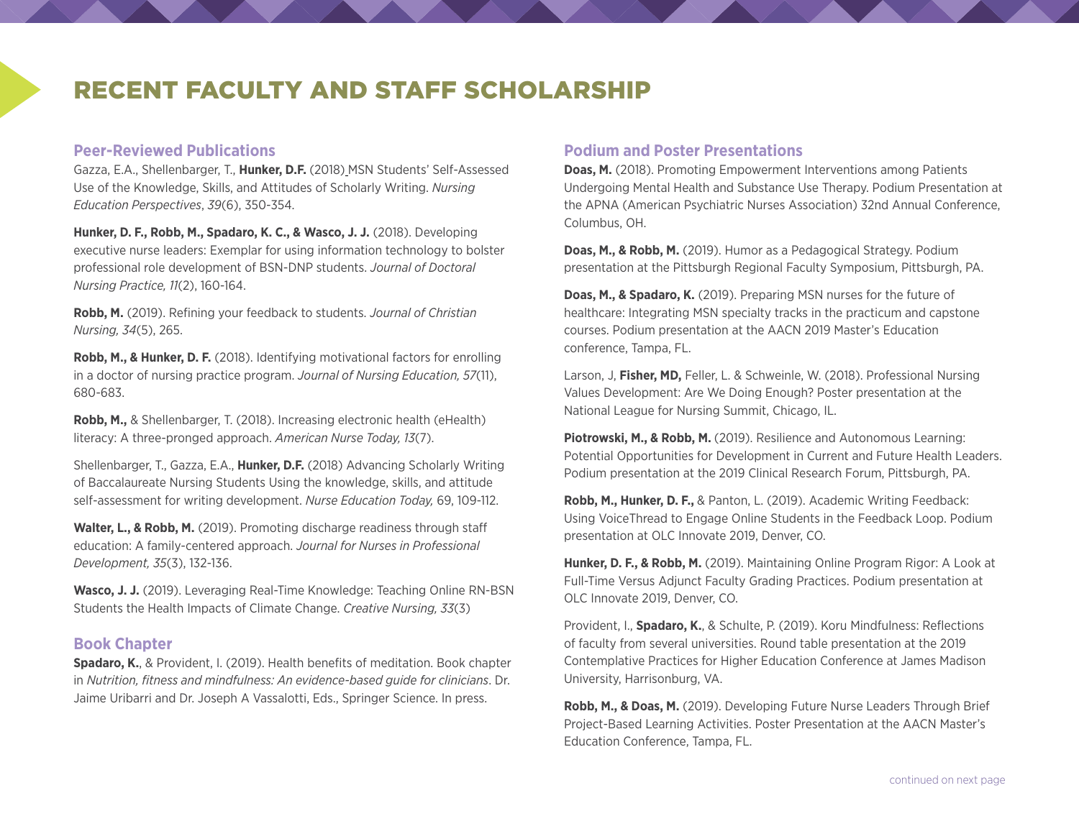## RECENT FACULTY AND STAFF SCHOLARSHIP

#### **Peer-Reviewed Publications**

Gazza, E.A., Shellenbarger, T., **Hunker, D.F.** (2018) MSN Students' Self-Assessed Use of the Knowledge, Skills, and Attitudes of Scholarly Writing. *Nursing Education Perspectives*, *39*(6), 350-354.

**Hunker, D. F., Robb, M., Spadaro, K. C., & Wasco, J. J.** (2018). Developing executive nurse leaders: Exemplar for using information technology to bolster professional role development of BSN-DNP students. *Journal of Doctoral Nursing Practice, 11*(2), 160-164.

**Robb, M.** (2019). Refining your feedback to students. *Journal of Christian Nursing, 34*(5), 265.

**Robb, M., & Hunker, D. F.** (2018). Identifying motivational factors for enrolling in a doctor of nursing practice program. *Journal of Nursing Education, 57*(11), 680-683.

**Robb, M.,** & Shellenbarger, T. (2018). Increasing electronic health (eHealth) literacy: A three-pronged approach. *American Nurse Today, 13*(7).

Shellenbarger, T., Gazza, E.A., **Hunker, D.F.** (2018) Advancing Scholarly Writing of Baccalaureate Nursing Students Using the knowledge, skills, and attitude self-assessment for writing development. *Nurse Education Today,* 69, 109-112.

**Walter, L., & Robb, M.** (2019). Promoting discharge readiness through staff education: A family-centered approach. *Journal for Nurses in Professional Development, 35*(3), 132-136.

**Wasco, J. J.** (2019). Leveraging Real-Time Knowledge: Teaching Online RN-BSN Students the Health Impacts of Climate Change. *Creative Nursing, 33*(3)

#### **Book Chapter**

**Spadaro, K.**, & Provident, I. (2019). Health benefits of meditation. Book chapter in *Nutrition, fitness and mindfulness: An evidence-based guide for clinicians*. Dr. Jaime Uribarri and Dr. Joseph A Vassalotti, Eds., Springer Science. In press.

#### **Podium and Poster Presentations**

**Doas, M.** (2018). Promoting Empowerment Interventions among Patients Undergoing Mental Health and Substance Use Therapy. Podium Presentation at the APNA (American Psychiatric Nurses Association) 32nd Annual Conference, Columbus, OH.

**Doas, M., & Robb, M.** (2019). Humor as a Pedagogical Strategy. Podium presentation at the Pittsburgh Regional Faculty Symposium, Pittsburgh, PA.

**Doas, M., & Spadaro, K.** (2019). Preparing MSN nurses for the future of healthcare: Integrating MSN specialty tracks in the practicum and capstone courses. Podium presentation at the AACN 2019 Master's Education conference, Tampa, FL.

Larson, J, **Fisher, MD,** Feller, L. & Schweinle, W. (2018). Professional Nursing Values Development: Are We Doing Enough? Poster presentation at the National League for Nursing Summit, Chicago, IL.

**Piotrowski, M., & Robb, M.** (2019). Resilience and Autonomous Learning: Potential Opportunities for Development in Current and Future Health Leaders. Podium presentation at the 2019 Clinical Research Forum, Pittsburgh, PA.

**Robb, M., Hunker, D. F.,** & Panton, L. (2019). Academic Writing Feedback: Using VoiceThread to Engage Online Students in the Feedback Loop. Podium presentation at OLC Innovate 2019, Denver, CO.

**Hunker, D. F., & Robb, M.** (2019). Maintaining Online Program Rigor: A Look at Full-Time Versus Adjunct Faculty Grading Practices. Podium presentation at OLC Innovate 2019, Denver, CO.

Provident, I., **Spadaro, K.**, & Schulte, P. (2019). Koru Mindfulness: Reflections of faculty from several universities. Round table presentation at the 2019 Contemplative Practices for Higher Education Conference at James Madison University, Harrisonburg, VA.

**Robb, M., & Doas, M.** (2019). Developing Future Nurse Leaders Through Brief Project-Based Learning Activities. Poster Presentation at the AACN Master's Education Conference, Tampa, FL.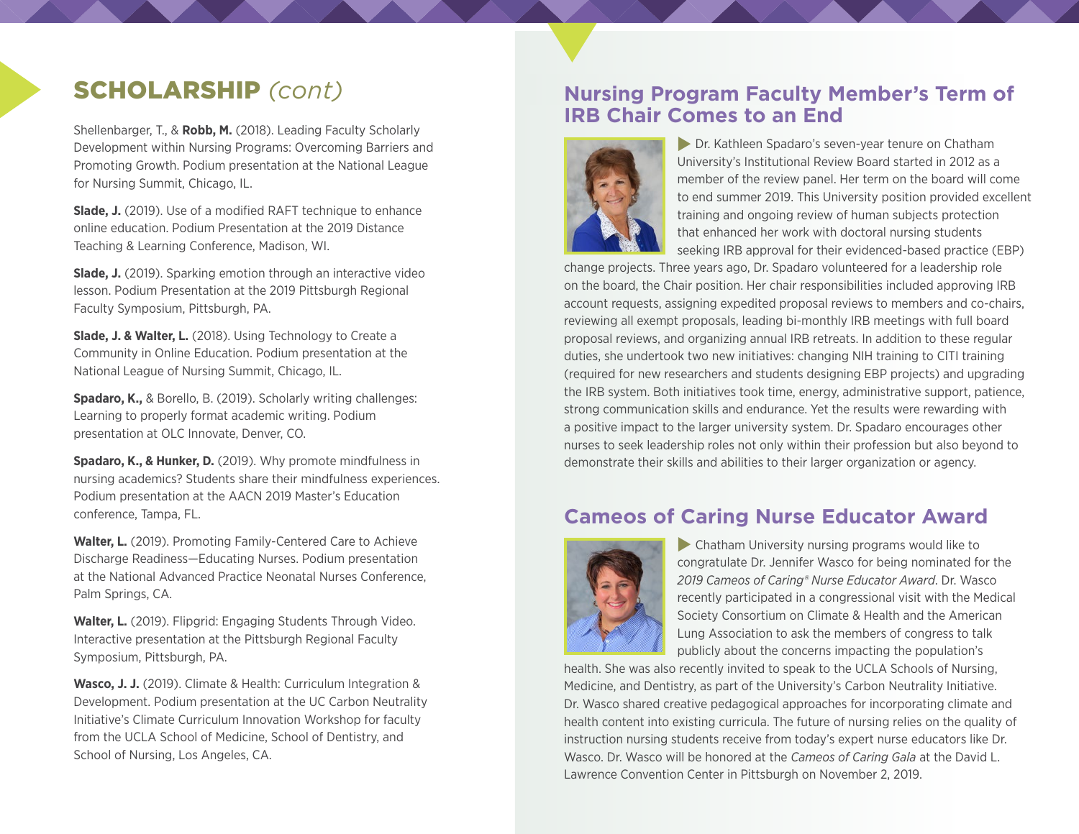Shellenbarger, T., & **Robb, M.** (2018). Leading Faculty Scholarly Development within Nursing Programs: Overcoming Barriers and Promoting Growth. Podium presentation at the National League for Nursing Summit, Chicago, IL.

**Slade, J.** (2019). Use of a modified RAFT technique to enhance online education. Podium Presentation at the 2019 Distance Teaching & Learning Conference, Madison, WI.

**Slade, J.** (2019). Sparking emotion through an interactive video lesson. Podium Presentation at the 2019 Pittsburgh Regional Faculty Symposium, Pittsburgh, PA.

**Slade, J. & Walter, L.** (2018). Using Technology to Create a Community in Online Education. Podium presentation at the National League of Nursing Summit, Chicago, IL.

**Spadaro, K.,** & Borello, B. (2019). Scholarly writing challenges: Learning to properly format academic writing. Podium presentation at OLC Innovate, Denver, CO.

**Spadaro, K., & Hunker, D.** (2019). Why promote mindfulness in nursing academics? Students share their mindfulness experiences. Podium presentation at the AACN 2019 Master's Education conference, Tampa, FL.

**Walter, L.** (2019). Promoting Family-Centered Care to Achieve Discharge Readiness—Educating Nurses. Podium presentation at the National Advanced Practice Neonatal Nurses Conference, Palm Springs, CA.

**Walter, L.** (2019). Flipgrid: Engaging Students Through Video. Interactive presentation at the Pittsburgh Regional Faculty Symposium, Pittsburgh, PA.

**Wasco, J. J.** (2019). Climate & Health: Curriculum Integration & Development. Podium presentation at the UC Carbon Neutrality Initiative's Climate Curriculum Innovation Workshop for faculty from the UCLA School of Medicine, School of Dentistry, and School of Nursing, Los Angeles, CA.

### SCHOLARSHIP *(cont)* **Nursing Program Faculty Member's Term of IRB Chair Comes to an End**



**Dr. Kathleen Spadaro's seven-year tenure on Chatham** University's Institutional Review Board started in 2012 as a member of the review panel. Her term on the board will come to end summer 2019. This University position provided excellent training and ongoing review of human subjects protection that enhanced her work with doctoral nursing students seeking IRB approval for their evidenced-based practice (EBP)

change projects. Three years ago, Dr. Spadaro volunteered for a leadership role on the board, the Chair position. Her chair responsibilities included approving IRB account requests, assigning expedited proposal reviews to members and co-chairs, reviewing all exempt proposals, leading bi-monthly IRB meetings with full board proposal reviews, and organizing annual IRB retreats. In addition to these regular duties, she undertook two new initiatives: changing NIH training to CITI training (required for new researchers and students designing EBP projects) and upgrading the IRB system. Both initiatives took time, energy, administrative support, patience, strong communication skills and endurance. Yet the results were rewarding with a positive impact to the larger university system. Dr. Spadaro encourages other nurses to seek leadership roles not only within their profession but also beyond to demonstrate their skills and abilities to their larger organization or agency.

## **Cameos of Caring Nurse Educator Award**



 $\blacktriangleright$  Chatham University nursing programs would like to congratulate Dr. Jennifer Wasco for being nominated for the *2019 Cameos of Caring® Nurse Educator Award*. Dr. Wasco recently participated in a congressional visit with the Medical Society Consortium on Climate & Health and the American Lung Association to ask the members of congress to talk publicly about the concerns impacting the population's

health. She was also recently invited to speak to the UCLA Schools of Nursing, Medicine, and Dentistry, as part of the University's Carbon Neutrality Initiative. Dr. Wasco shared creative pedagogical approaches for incorporating climate and health content into existing curricula. The future of nursing relies on the quality of instruction nursing students receive from today's expert nurse educators like Dr. Wasco. Dr. Wasco will be honored at the *Cameos of Caring Gala* at the David L. Lawrence Convention Center in Pittsburgh on November 2, 2019.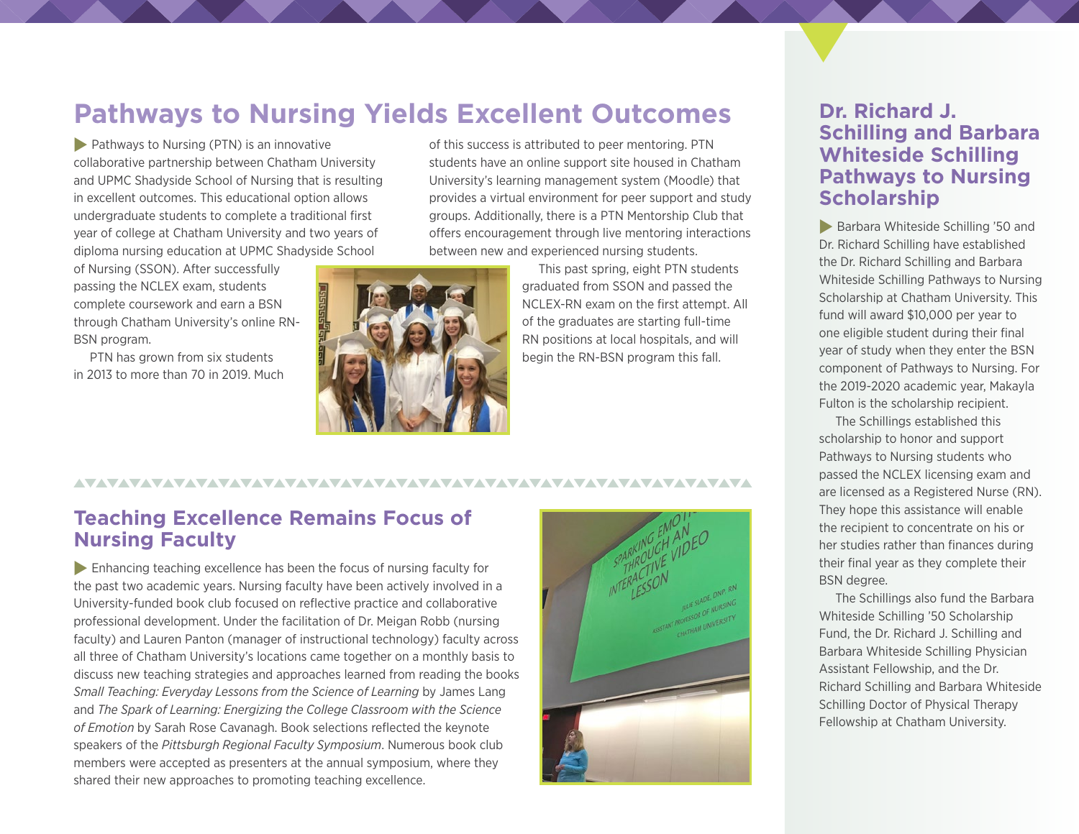## **Pathways to Nursing Yields Excellent Outcomes**

 $\blacktriangleright$  Pathways to Nursing (PTN) is an innovative collaborative partnership between Chatham University and UPMC Shadyside School of Nursing that is resulting in excellent outcomes. This educational option allows undergraduate students to complete a traditional first year of college at Chatham University and two years of diploma nursing education at UPMC Shadyside School

of Nursing (SSON). After successfully passing the NCLEX exam, students complete coursework and earn a BSN through Chatham University's online RN-BSN program.

PTN has grown from six students in 2013 to more than 70 in 2019. Much of this success is attributed to peer mentoring. PTN students have an online support site housed in Chatham University's learning management system (Moodle) that provides a virtual environment for peer support and study groups. Additionally, there is a PTN Mentorship Club that offers encouragement through live mentoring interactions between new and experienced nursing students.



This past spring, eight PTN students graduated from SSON and passed the NCLEX-RN exam on the first attempt. All of the graduates are starting full-time RN positions at local hospitals, and will begin the RN-BSN program this fall.

### **Teaching Excellence Remains Focus of Nursing Faculty**

 $\blacktriangleright$  Enhancing teaching excellence has been the focus of nursing faculty for the past two academic years. Nursing faculty have been actively involved in a University-funded book club focused on reflective practice and collaborative professional development. Under the facilitation of Dr. Meigan Robb (nursing faculty) and Lauren Panton (manager of instructional technology) faculty across all three of Chatham University's locations came together on a monthly basis to discuss new teaching strategies and approaches learned from reading the books *Small Teaching: Everyday Lessons from the Science of Learning* by James Lang and *The Spark of Learning: Energizing the College Classroom with the Science of Emotion* by Sarah Rose Cavanagh. Book selections reflected the keynote speakers of the *Pittsburgh Regional Faculty Symposium*. Numerous book club members were accepted as presenters at the annual symposium, where they shared their new approaches to promoting teaching excellence.



### **Dr. Richard J. Schilling and Barbara Whiteside Schilling Pathways to Nursing Scholarship**

**Barbara Whiteside Schilling '50 and** Dr. Richard Schilling have established the Dr. Richard Schilling and Barbara Whiteside Schilling Pathways to Nursing Scholarship at Chatham University. This fund will award \$10,000 per year to one eligible student during their final year of study when they enter the BSN component of Pathways to Nursing. For the 2019-2020 academic year, Makayla Fulton is the scholarship recipient.

The Schillings established this scholarship to honor and support Pathways to Nursing students who passed the NCLEX licensing exam and are licensed as a Registered Nurse (RN). They hope this assistance will enable the recipient to concentrate on his or her studies rather than finances during their final year as they complete their BSN degree.

The Schillings also fund the Barbara Whiteside Schilling '50 Scholarship Fund, the Dr. Richard J. Schilling and Barbara Whiteside Schilling Physician Assistant Fellowship, and the Dr. Richard Schilling and Barbara Whiteside Schilling Doctor of Physical Therapy Fellowship at Chatham University.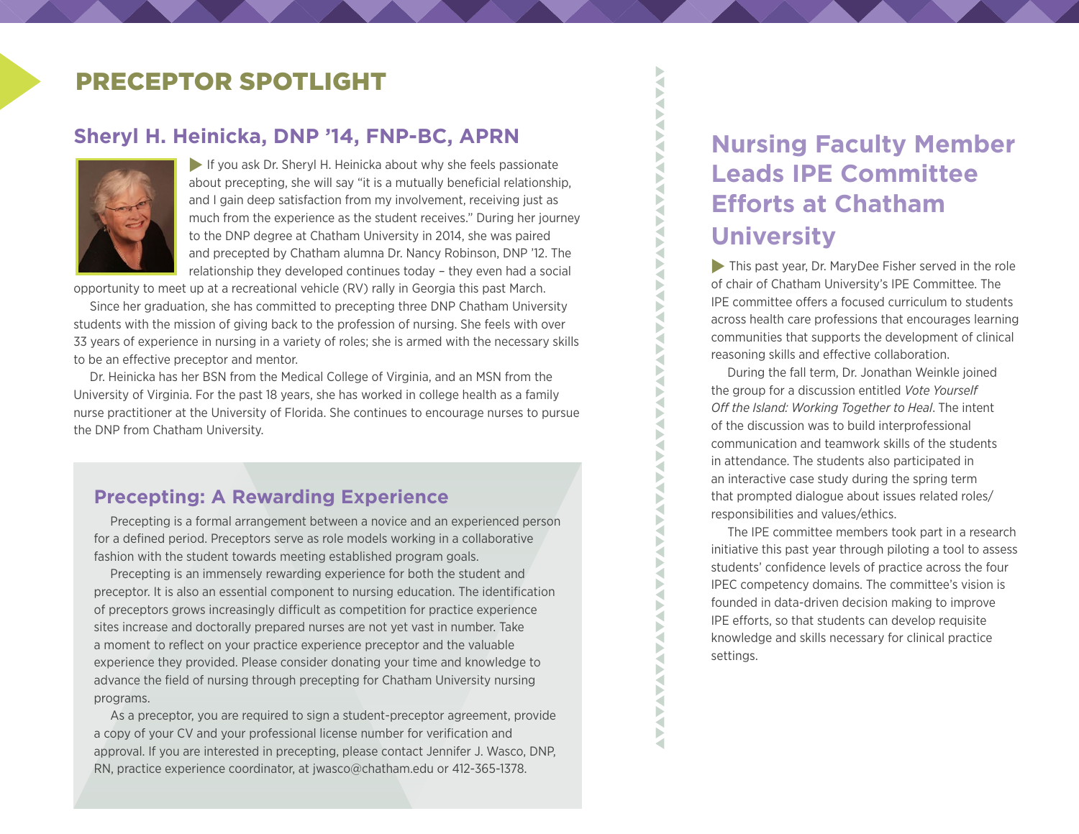## PRECEPTOR SPOTLIGHT

### **Sheryl H. Heinicka, DNP '14, FNP-BC, APRN**



If you ask Dr. Sheryl H. Heinicka about why she feels passionate about precepting, she will say "it is a mutually beneficial relationship, and I gain deep satisfaction from my involvement, receiving just as much from the experience as the student receives." During her journey to the DNP degree at Chatham University in 2014, she was paired and precepted by Chatham alumna Dr. Nancy Robinson, DNP '12. The relationship they developed continues today – they even had a social

opportunity to meet up at a recreational vehicle (RV) rally in Georgia this past March.

Since her graduation, she has committed to precepting three DNP Chatham University students with the mission of giving back to the profession of nursing. She feels with over 33 years of experience in nursing in a variety of roles; she is armed with the necessary skills to be an effective preceptor and mentor.

Dr. Heinicka has her BSN from the Medical College of Virginia, and an MSN from the University of Virginia. For the past 18 years, she has worked in college health as a family nurse practitioner at the University of Florida. She continues to encourage nurses to pursue the DNP from Chatham University.

### **Precepting: A Rewarding Experience**

Precepting is a formal arrangement between a novice and an experienced person for a defined period. Preceptors serve as role models working in a collaborative fashion with the student towards meeting established program goals.

Precepting is an immensely rewarding experience for both the student and preceptor. It is also an essential component to nursing education. The identification of preceptors grows increasingly difficult as competition for practice experience sites increase and doctorally prepared nurses are not yet vast in number. Take a moment to reflect on your practice experience preceptor and the valuable experience they provided. Please consider donating your time and knowledge to advance the field of nursing through precepting for Chatham University nursing programs.

As a preceptor, you are required to sign a student-preceptor agreement, provide a copy of your CV and your professional license number for verification and approval. If you are interested in precepting, please contact Jennifer J. Wasco, DNP, RN, practice experience coordinator, at jwasco@chatham.edu or 412-365-1378.

## **Nursing Faculty Member Leads IPE Committee Efforts at Chatham University**

Š Þ  $\tilde{\mathbf{S}}$ ζ **NAA** 

XVX

**AVANA VALUA** 

 $\tilde{\mathbf{S}}$ 

**TANY** 

 $\blacktriangleright$  This past year, Dr. MaryDee Fisher served in the role of chair of Chatham University's IPE Committee. The IPE committee offers a focused curriculum to students across health care professions that encourages learning communities that supports the development of clinical reasoning skills and effective collaboration.

During the fall term, Dr. Jonathan Weinkle joined the group for a discussion entitled *Vote Yourself Off the Island: Working Together to Heal*. The intent of the discussion was to build interprofessional communication and teamwork skills of the students in attendance. The students also participated in an interactive case study during the spring term that prompted dialogue about issues related roles/ responsibilities and values/ethics.

The IPE committee members took part in a research initiative this past year through piloting a tool to assess students' confidence levels of practice across the four IPEC competency domains. The committee's vision is founded in data-driven decision making to improve IPE efforts, so that students can develop requisite knowledge and skills necessary for clinical practice settings.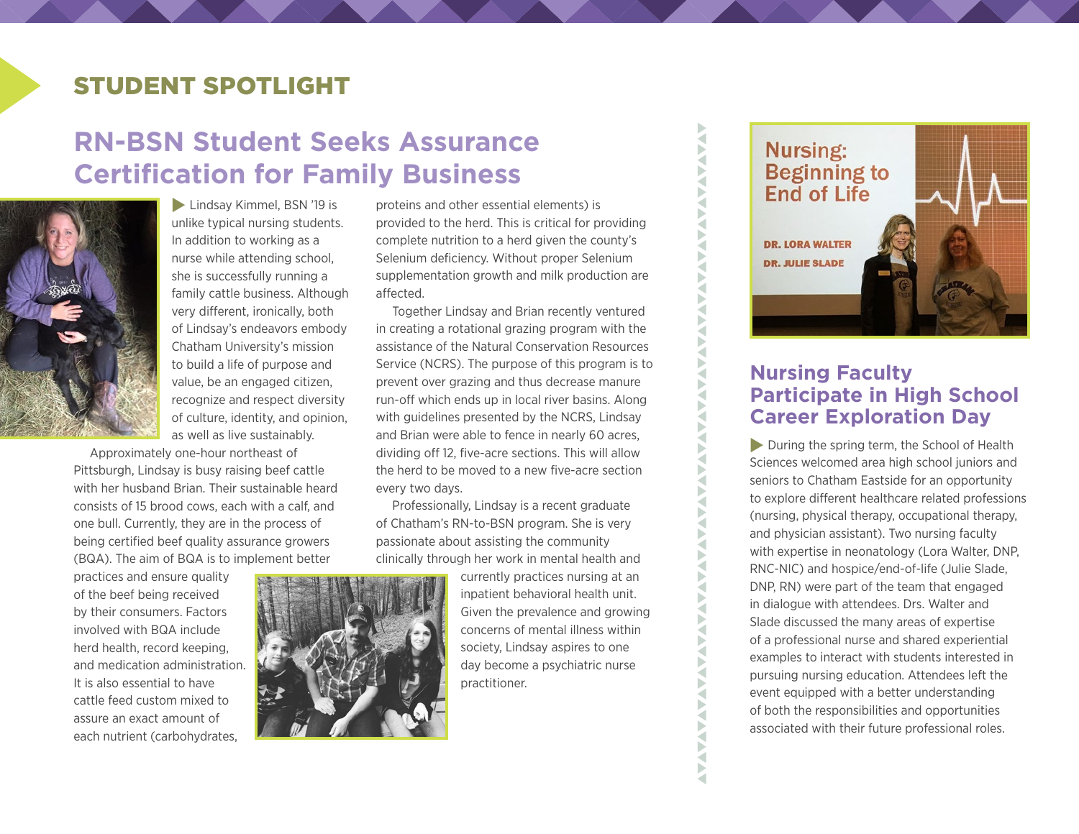## STUDENT SPOTLIGHT

## **RN-BSN Student Seeks Assurance Certification for Family Business**



**Lindsay Kimmel, BSN '19 is** unlike typical nursing students. In addition to working as a nurse while attending school, she is successfully running a family cattle business. Although very different, ironically, both of Lindsay's endeavors embody Chatham University's mission to build a life of purpose and value, be an engaged citizen, recognize and respect diversity of culture, identity, and opinion, as well as live sustainably.

Approximately one-hour northeast of Pittsburgh, Lindsay is busy raising beef cattle with her husband Brian. Their sustainable heard consists of 15 brood cows, each with a calf, and one bull. Currently, they are in the process of being certified beef quality assurance growers (BQA). The aim of BQA is to implement better

practices and ensure quality of the beef being received by their consumers. Factors involved with BQA include herd health, record keeping, and medication administration. It is also essential to have cattle feed custom mixed to assure an exact amount of each nutrient (carbohydrates,



proteins and other essential elements) is provided to the herd. This is critical for providing complete nutrition to a herd given the county's Selenium deficiency. Without proper Selenium supplementation growth and milk production are affected.

Together Lindsay and Brian recently ventured in creating a rotational grazing program with the assistance of the Natural Conservation Resources Service (NCRS). The purpose of this program is to prevent over grazing and thus decrease manure run-off which ends up in local river basins. Along with guidelines presented by the NCRS, Lindsay and Brian were able to fence in nearly 60 acres, dividing off 12, five-acre sections. This will allow the herd to be moved to a new five-acre section every two days.

Professionally, Lindsay is a recent graduate of Chatham's RN-to-BSN program. She is very passionate about assisting the community clinically through her work in mental health and

> currently practices nursing at an inpatient behavioral health unit. Given the prevalence and growing concerns of mental illness within society, Lindsay aspires to one day become a psychiatric nurse practitioner.

WANA WA MARA WA MARA WA MARA WA MARA WA MARA WA MARA WA MARA WA MARA WA MARA WA MARA WA MARA WA MARA WA MARA WA MARA WA MARA WA MARA WA MARA WA MARA WA MARA WA MARA WA MARA WA MARA WA MARA WA MARA WA MARA WA MARA WA MARA WA



### **Nursing Faculty Participate in High School Career Exploration Day**

 $\blacktriangleright$  During the spring term, the School of Health Sciences welcomed area high school juniors and seniors to Chatham Eastside for an opportunity to explore different healthcare related professions (nursing, physical therapy, occupational therapy, and physician assistant). Two nursing faculty with expertise in neonatology (Lora Walter, DNP, RNC-NIC) and hospice/end-of-life (Julie Slade, DNP, RN) were part of the team that engaged in dialogue with attendees. Drs. Walter and Slade discussed the many areas of expertise of a professional nurse and shared experiential examples to interact with students interested in pursuing nursing education. Attendees left the event equipped with a better understanding of both the responsibilities and opportunities associated with their future professional roles.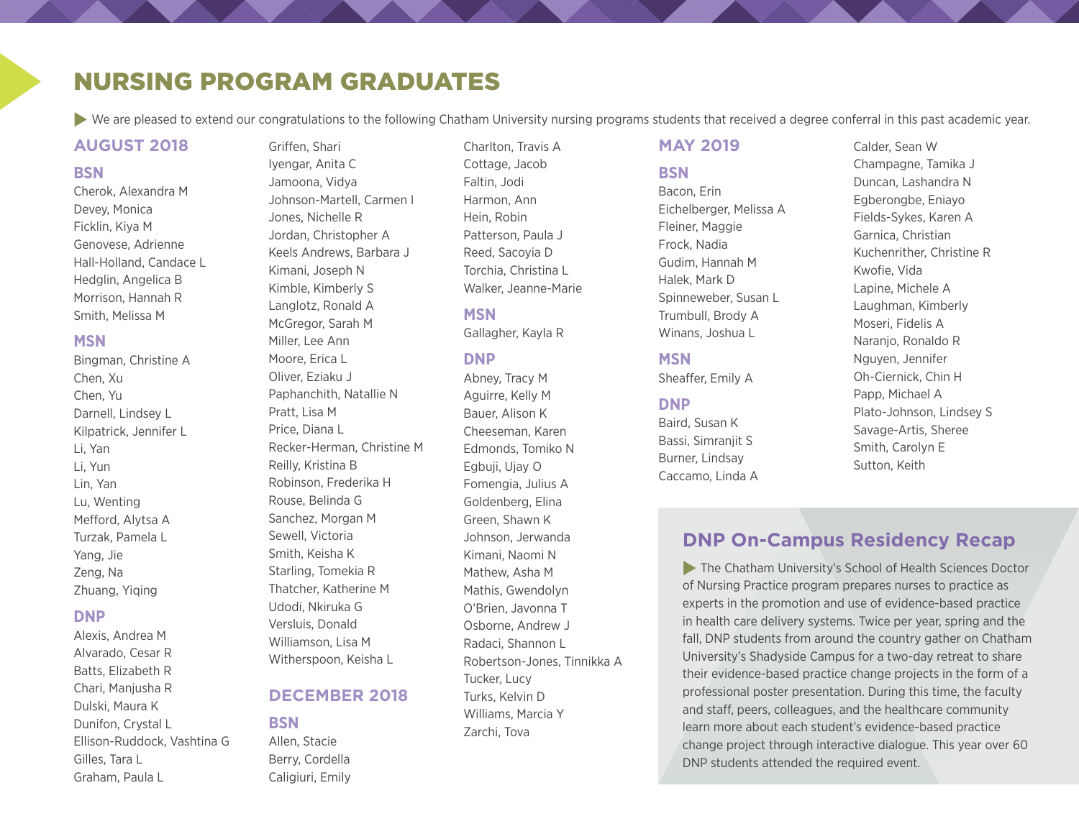## NURSING PROGRAM GRADUATES

Griffen, Shari

▶ We are pleased to extend our congratulations to the following Chatham University nursing programs students that received a degree conferral in this past academic year.

#### **AUGUST 2018**

#### **BSN**

Cherok, Alexandra M Devey, Monica Ficklin, Kiya M Genovese, Adrienne Hall-Holland, Candace L Hedglin, Angelica B Morrison, Hannah R Smith, Melissa M

#### **MSN**

Bingman, Christine A Chen, Xu Chen, Yu Darnell, Lindsey L Kilpatrick, Jennifer L Li, Yan Li, Yun Lin, Yan Lu, Wenting Mefford, Alytsa A Turzak, Pamela L Yang, Jie Zeng, Na Zhuang, Yiqing

#### **DNP**

Alexis, Andrea M Alvarado, Cesar R Batts, Elizabeth R Chari, Manjusha R Dulski, Maura K Dunifon, Crystal L Ellison-Ruddock, Vashtina G Gilles, Tara L Graham, Paula L

Iyengar, Anita C Jamoona, Vidya Johnson-Martell, Carmen I Jones, Nichelle R Jordan, Christopher A Keels Andrews, Barbara J Kimani, Joseph N Kimble, Kimberly S Langlotz, Ronald A McGregor, Sarah M Miller, Lee Ann Moore, Erica L Oliver, Eziaku J Paphanchith, Natallie N Pratt, Lisa M Price, Diana L Recker-Herman, Christine M Reilly, Kristina B Robinson, Frederika H Rouse, Belinda G Sanchez, Morgan M Sewell, Victoria Smith, Keisha K Starling, Tomekia R Thatcher, Katherine M Udodi, Nkiruka G Versluis, Donald Williamson, Lisa M Witherspoon, Keisha L

#### **DECEMBER 2018**

#### **BSN**

Allen, Stacie Berry, Cordella Caligiuri, Emily

Charlton, Travis A Cottage, Jacob Faltin, Jodi Harmon, Ann Hein, Robin Patterson, Paula J Reed, Sacoyia D Torchia, Christina L Walker, Jeanne-Marie

#### **MSN**

Gallagher, Kayla R

#### **DNP**

Abney, Tracy M Aguirre, Kelly M Bauer, Alison K Cheeseman, Karen Edmonds, Tomiko N Egbuji, Ujay O Fomengia, Julius A Goldenberg, Elina Green, Shawn K Johnson, Jerwanda Kimani, Naomi N Mathew, Asha M Mathis, Gwendolyn O'Brien, Javonna T Osborne, Andrew J Radaci, Shannon L Robertson-Jones, Tinnikka A Tucker, Lucy Turks, Kelvin D Williams, Marcia Y Zarchi, Tova

#### **MAY 2019**

#### **BSN**

Bacon, Erin Eichelberger, Melissa A Fleiner, Maggie Frock, Nadia Gudim, Hannah M Halek, Mark D Spinneweber, Susan L Trumbull, Brody A Winans, Joshua L

#### **MSN**

Sheaffer, Emily A

#### **DNP**

Baird, Susan K Bassi, Simranjit S Burner, Lindsay Caccamo, Linda A Calder, Sean W Champagne, Tamika J Duncan, Lashandra N Egberongbe, Eniayo Fields-Sykes, Karen A Garnica, Christian Kuchenrither, Christine R Kwofie, Vida Lapine, Michele A Laughman, Kimberly Moseri, Fidelis A Naranjo, Ronaldo R Nguyen, Jennifer Oh-Ciernick, Chin H Papp, Michael A Plato-Johnson, Lindsey S Savage-Artis, Sheree Smith, Carolyn E Sutton, Keith

### **DNP On-Campus Residency Recap**

 $\blacktriangleright$  The Chatham University's School of Health Sciences Doctor of Nursing Practice program prepares nurses to practice as experts in the promotion and use of evidence-based practice in health care delivery systems. Twice per year, spring and the fall, DNP students from around the country gather on Chatham University's Shadyside Campus for a two-day retreat to share their evidence-based practice change projects in the form of a professional poster presentation. During this time, the faculty and staff, peers, colleagues, and the healthcare community learn more about each student's evidence-based practice change project through interactive dialogue. This year over 60 DNP students attended the required event.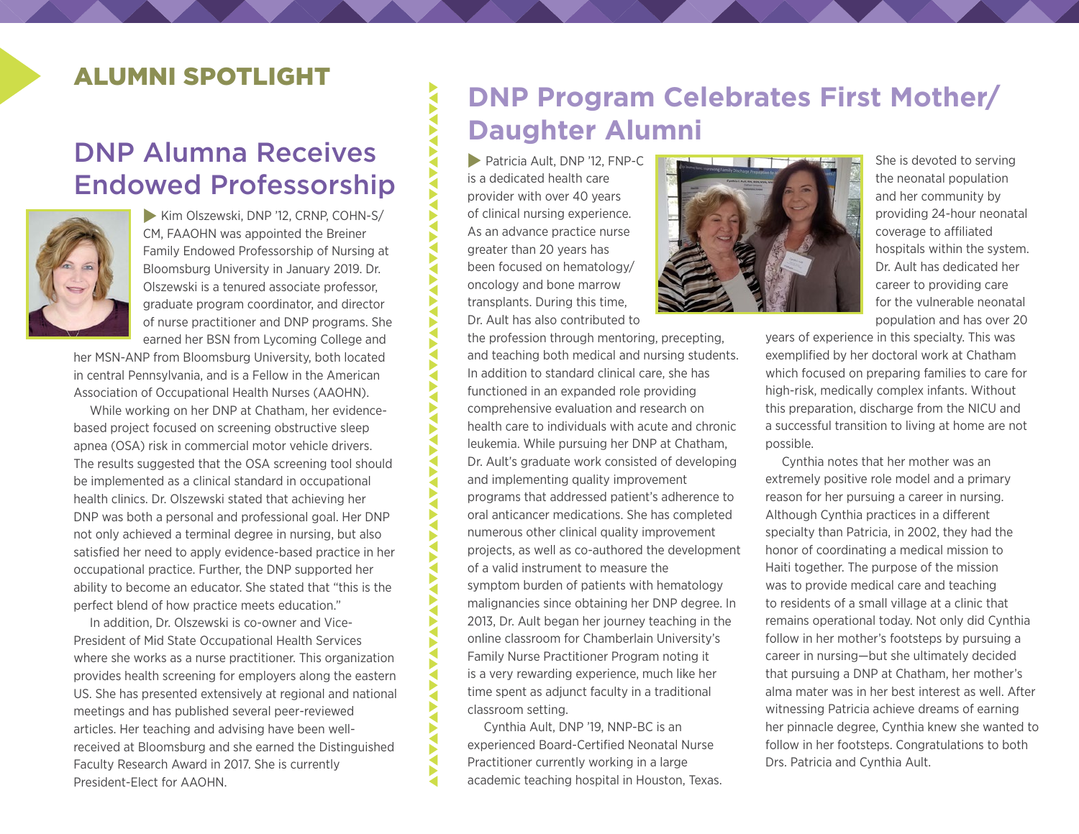## ALUMNI SPOTLIGHT

## DNP Alumna Receives Endowed Professorship



Kim Olszewski, DNP '12, CRNP, COHN-S/ CM, FAAOHN was appointed the Breiner Family Endowed Professorship of Nursing at Bloomsburg University in January 2019. Dr. Olszewski is a tenured associate professor, graduate program coordinator, and director of nurse practitioner and DNP programs. She earned her BSN from Lycoming College and

her MSN-ANP from Bloomsburg University, both located in central Pennsylvania, and is a Fellow in the American Association of Occupational Health Nurses (AAOHN).

While working on her DNP at Chatham, her evidencebased project focused on screening obstructive sleep apnea (OSA) risk in commercial motor vehicle drivers. The results suggested that the OSA screening tool should be implemented as a clinical standard in occupational health clinics. Dr. Olszewski stated that achieving her DNP was both a personal and professional goal. Her DNP not only achieved a terminal degree in nursing, but also satisfied her need to apply evidence-based practice in her occupational practice. Further, the DNP supported her ability to become an educator. She stated that "this is the perfect blend of how practice meets education."

In addition, Dr. Olszewski is co-owner and Vice-President of Mid State Occupational Health Services where she works as a nurse practitioner. This organization provides health screening for employers along the eastern US. She has presented extensively at regional and national meetings and has published several peer-reviewed articles. Her teaching and advising have been wellreceived at Bloomsburg and she earned the Distinguished Faculty Research Award in 2017. She is currently President-Elect for AAOHN.

## **DNP Program Celebrates First Mother/ Daughter Alumni**

Patricia Ault, DNP '12, FNP-C is a dedicated health care provider with over 40 years of clinical nursing experience. As an advance practice nurse greater than 20 years has been focused on hematology/ oncology and bone marrow transplants. During this time, Dr. Ault has also contributed to

**ANALAMANANANANAN** 

**ANALAMANANANANANAN** 

**AVANANTINA** 

**AVA** 

**AVAVANTA** 

AVAV

the profession through mentoring, precepting, and teaching both medical and nursing students. In addition to standard clinical care, she has functioned in an expanded role providing comprehensive evaluation and research on health care to individuals with acute and chronic leukemia. While pursuing her DNP at Chatham, Dr. Ault's graduate work consisted of developing and implementing quality improvement programs that addressed patient's adherence to oral anticancer medications. She has completed numerous other clinical quality improvement projects, as well as co-authored the development of a valid instrument to measure the symptom burden of patients with hematology malignancies since obtaining her DNP degree. In 2013, Dr. Ault began her journey teaching in the online classroom for Chamberlain University's Family Nurse Practitioner Program noting it is a very rewarding experience, much like her time spent as adjunct faculty in a traditional classroom setting.

Cynthia Ault, DNP '19, NNP-BC is an experienced Board-Certified Neonatal Nurse Practitioner currently working in a large academic teaching hospital in Houston, Texas.



She is devoted to serving the neonatal population and her community by providing 24-hour neonatal coverage to affiliated hospitals within the system. Dr. Ault has dedicated her career to providing care for the vulnerable neonatal population and has over 20

years of experience in this specialty. This was exemplified by her doctoral work at Chatham which focused on preparing families to care for high-risk, medically complex infants. Without this preparation, discharge from the NICU and a successful transition to living at home are not possible.

Cynthia notes that her mother was an extremely positive role model and a primary reason for her pursuing a career in nursing. Although Cynthia practices in a different specialty than Patricia, in 2002, they had the honor of coordinating a medical mission to Haiti together. The purpose of the mission was to provide medical care and teaching to residents of a small village at a clinic that remains operational today. Not only did Cynthia follow in her mother's footsteps by pursuing a career in nursing—but she ultimately decided that pursuing a DNP at Chatham, her mother's alma mater was in her best interest as well. After witnessing Patricia achieve dreams of earning her pinnacle degree, Cynthia knew she wanted to follow in her footsteps. Congratulations to both Drs. Patricia and Cynthia Ault.